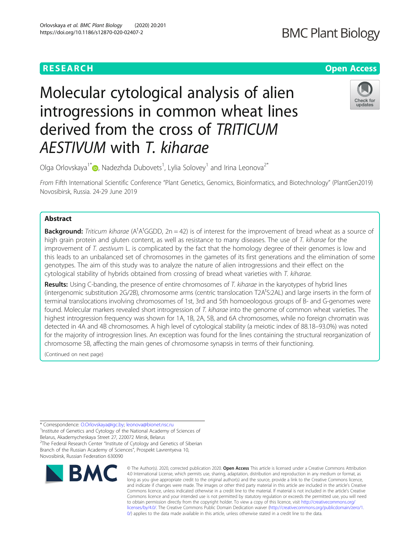# **BMC Plant Biology**

# **RESEARCH CHE Open Access**

# Check for updates

Olga Orlovskaya $^{\dagger^\ast}$  , Nadezhda Dubovets $^{\dagger}$ , Lylia Solovey $^{\dagger}$  and Irina Leonova $^{2^\ast}$ 

AESTIV[UM](http://orcid.org/0000-0002-1187-1317) with T. kiharae

derived from the cross of TRITICUM

Molecular cytological analysis of alien

introgressions in common wheat lines

From Fifth International Scientific Conference "Plant Genetics, Genomics, Bioinformatics, and Biotechnology" (PlantGen2019) Novosibirsk, Russia. 24-29 June 2019

# Abstract

Background: Triticum kiharae (A<sup>t</sup>A<sup>t</sup>GGDD, 2n = 42) is of interest for the improvement of bread wheat as a source of high grain protein and gluten content, as well as resistance to many diseases. The use of T. kiharae for the improvement of T. aestivum L. is complicated by the fact that the homology degree of their genomes is low and this leads to an unbalanced set of chromosomes in the gametes of its first generations and the elimination of some genotypes. The aim of this study was to analyze the nature of alien introgressions and their effect on the cytological stability of hybrids obtained from crossing of bread wheat varieties with T. kiharae.

Results: Using C-banding, the presence of entire chromosomes of T. kiharae in the karyotypes of hybrid lines (intergenomic substitution 2G/2B), chromosome arms (centric translocation T2A<sup>t</sup>S:2AL) and large inserts in the form of terminal translocations involving chromosomes of 1st, 3rd and 5th homoeologous groups of B- and G-genomes were found. Molecular markers revealed short introgression of T. kiharae into the genome of common wheat varieties. The highest introgression frequency was shown for 1A, 1B, 2A, 5B, and 6A chromosomes, while no foreign chromatin was detected in 4A and 4B chromosomes. A high level of cytological stability (a meiotic index of 88.18–93.0%) was noted for the majority of introgression lines. An exception was found for the lines containing the structural reorganization of chromosome 5B, affecting the main genes of chromosome synapsis in terms of their functioning.

(Continued on next page)

\* Correspondence: [O.Orlovskaya@igc.by;](mailto:O.Orlovskaya@igc.by) [leonova@bionet.nsc.ru](mailto:leonova@bionet.nsc.ru) <sup>1</sup>

<sup>1</sup>Institute of Genetics and Cytology of the National Academy of Sciences of Belarus, Akademycheskaya Street 27, 220072 Minsk, Belarus <sup>2</sup>The Federal Research Center "Institute of Cytology and Genetics of Siberian Branch of the Russian Academy of Sciences", Prospekt Lavrentyeva 10, Novosibirsk, Russian Federation 630090



© The Author(s). 2020, corrected publication 2020. Open Access This article is licensed under a Creative Commons Attribution 4.0 International License, which permits use, sharing, adaptation, distribution and reproduction in any medium or format, as long as you give appropriate credit to the original author(s) and the source, provide a link to the Creative Commons licence, and indicate if changes were made. The images or other third party material in this article are included in the article's Creative Commons licence, unless indicated otherwise in a credit line to the material. If material is not included in the article's Creative Commons licence and your intended use is not permitted by statutory regulation or exceeds the permitted use, you will need to obtain permission directly from the copyright holder. To view a copy of this licence, visit [http://creativecommons.org/](http://creativecommons.org/licenses/by/4.0/) [licenses/by/4.0/.](http://creativecommons.org/licenses/by/4.0/) The Creative Commons Public Domain Dedication waiver ([http://creativecommons.org/publicdomain/zero/1.](http://creativecommons.org/publicdomain/zero/1.0/) [0/\)](http://creativecommons.org/publicdomain/zero/1.0/) applies to the data made available in this article, unless otherwise stated in a credit line to the data.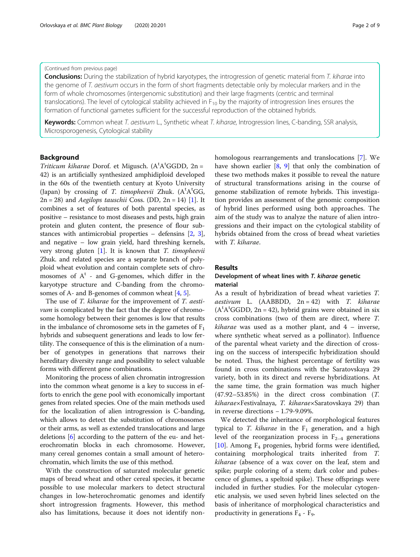#### Orlovskaya et al. BMC Plant Biology (2020) 20:201 Page 2 of 9

#### (Continued from previous page)

Conclusions: During the stabilization of hybrid karyotypes, the introgression of genetic material from T. kiharae into the genome of T. aestivum occurs in the form of short fragments detectable only by molecular markers and in the form of whole chromosomes (intergenomic substitution) and their large fragments (centric and terminal translocations). The level of cytological stability achieved in  $F_{10}$  by the majority of introgression lines ensures the formation of functional gametes sufficient for the successful reproduction of the obtained hybrids.

Keywords: Common wheat T. aestivum L., Synthetic wheat T. kiharae, Introgression lines, C-banding, SSR analysis, Microsporogenesis, Cytological stability

## Background

Triticum kiharae Dorof. et Migusch. (A<sup>t</sup>A<sup>t</sup>GGDD, 2n =<br>42) is an artificially synthesized amphidiploid developed 42) is an artificially synthesized amphidiploid developed in the 60s of the twentieth century at Kyoto University (Japan) by crossing of T. timopheevii Zhuk.  $(A<sup>t</sup>A<sup>t</sup>GG, 2n - 28)$  and *Aegilons tauschii Coss* (DD, 2n – 14) [1] It  $2n = 28$ ) and *Aegilops tauschii* Coss. (DD,  $2n = 14$ ) [[1\]](#page-8-0). It combines a set of features of both parental species, as positive – resistance to most diseases and pests, high grain protein and gluten content, the presence of flour substances with antimicrobial properties – defensins [\[2,](#page-8-0) [3](#page-8-0)], and negative – low grain yield, hard threshing kernels, very strong gluten  $[1]$  $[1]$  $[1]$ . It is known that *T. timopheevii* Zhuk. and related species are a separate branch of polyploid wheat evolution and contain complete sets of chromosomes of  $A<sup>t</sup>$  - and G-genomes, which differ in the karyotype structure and C-banding from the chromosomes of A- and B-genomes of common wheat [[4](#page-8-0), [5\]](#page-8-0).

The use of *T. kiharae* for the improvement of *T. aesti*vum is complicated by the fact that the degree of chromosome homology between their genomes is low that results in the imbalance of chromosome sets in the gametes of  $F_1$ hybrids and subsequent generations and leads to low fertility. The consequence of this is the elimination of a number of genotypes in generations that narrows their hereditary diversity range and possibility to select valuable forms with different gene combinations.

Monitoring the process of alien chromatin introgression into the common wheat genome is a key to success in efforts to enrich the gene pool with economically important genes from related species. One of the main methods used for the localization of alien introgression is C-banding, which allows to detect the substitution of chromosomes or their arms, as well as extended translocations and large deletions [\[6\]](#page-8-0) according to the pattern of the eu- and heterochromatin blocks in each chromosome. However, many cereal genomes contain a small amount of heterochromatin, which limits the use of this method.

With the construction of saturated molecular genetic maps of bread wheat and other cereal species, it became possible to use molecular markers to detect structural changes in low-heterochromatic genomes and identify short introgression fragments. However, this method also has limitations, because it does not identify nonhomologous rearrangements and translocations [[7\]](#page-8-0). We have shown earlier  $[8, 9]$  $[8, 9]$  $[8, 9]$  $[8, 9]$  that only the combination of these two methods makes it possible to reveal the nature of structural transformations arising in the course of genome stabilization of remote hybrids. This investigation provides an assessment of the genomic composition of hybrid lines performed using both approaches. The aim of the study was to analyze the nature of alien introgressions and their impact on the cytological stability of hybrids obtained from the cross of bread wheat varieties with T. kiharae.

#### Results

## Development of wheat lines with T. kiharae genetic material

As a result of hybridization of bread wheat varieties T. aestivum L. (AABBDD,  $2n = 42$ ) with T. kiharae  $(A<sup>t</sup>A<sup>t</sup>GGDD, 2n = 42)$ , hybrid grains were obtained in six cross combinations (two of them are direct, where T. *kiharae* was used as a mother plant, and  $4$  – inverse, where synthetic wheat served as a pollinator). Influence of the parental wheat variety and the direction of crossing on the success of interspecific hybridization should be noted. Thus, the highest percentage of fertility was found in cross combinations with the Saratovskaya 29 variety, both in its direct and reverse hybridizations. At the same time, the grain formation was much higher (47.92–53.85%) in the direct cross combination (T. kiharae×Festivalnaya, T. kiharae×Saratovskaya 29) than in reverse directions − 1.79-9.09%.

We detected the inheritance of morphological features typical to T. kiharae in the  $F_1$  generation, and a high level of the reorganization process in  $F_{2-4}$  generations [[10\]](#page-8-0). Among  $F_4$  progenies, hybrid forms were identified, containing morphological traits inherited from T. kiharae (absence of a wax cover on the leaf, stem and spike; purple coloring of a stem; dark color and pubescence of glumes, a speltoid spike). These offsprings were included in further studies. For the molecular cytogenetic analysis, we used seven hybrid lines selected on the basis of inheritance of morphological characteristics and productivity in generations  $F_4$  -  $F_9$ .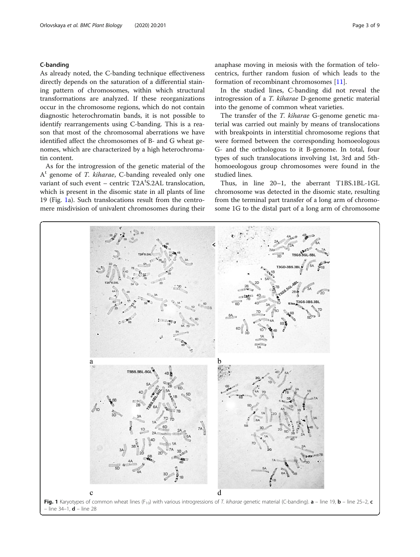### <span id="page-2-0"></span>C-banding

As already noted, the C-banding technique effectiveness directly depends on the saturation of a differential staining pattern of chromosomes, within which structural transformations are analyzed. If these reorganizations occur in the chromosome regions, which do not contain diagnostic heterochromatin bands, it is not possible to identify rearrangements using C-banding. This is a reason that most of the chromosomal aberrations we have identified affect the chromosomes of B- and G wheat genomes, which are characterized by a high heterochromatin content.

As for the introgression of the genetic material of the  $A<sup>t</sup>$  genome of *T. kiharae*, C-banding revealed only one variant of such event – centric T2A<sup>t</sup>S.2AL translocation, which is present in the disomic state in all plants of line 19 (Fig. 1a). Such translocations result from the centromere misdivision of univalent chromosomes during their anaphase moving in meiosis with the formation of telocentrics, further random fusion of which leads to the formation of recombinant chromosomes [[11\]](#page-8-0).

In the studied lines, C-banding did not reveal the introgression of a T. kiharae D-genome genetic material into the genome of common wheat varieties.

The transfer of the T. kiharae G-genome genetic material was carried out mainly by means of translocations with breakpoints in interstitial chromosome regions that were formed between the corresponding homoeologous G- and the orthologous to it B-genome. In total, four types of such translocations involving 1st, 3rd and 5thhomoeologous group chromosomes were found in the studied lines.

Thus, in line 20–1, the aberrant T1BS.1BL-1GL chromosome was detected in the disomic state, resulting from the terminal part transfer of a long arm of chromosome 1G to the distal part of a long arm of chromosome

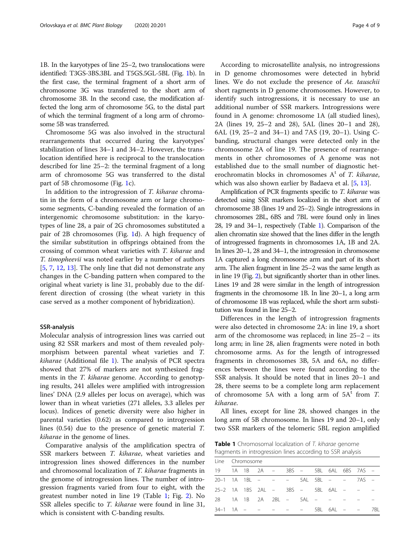<span id="page-3-0"></span>1B. In the karyotypes of line 25–2, two translocations were identified: T3GS-3BS.3BL and T5GS.5GL-5BL (Fig. [1b](#page-2-0)). In the first case, the terminal fragment of a short arm of chromosome 3G was transferred to the short arm of chromosome 3B. In the second case, the modification affected the long arm of chromosome 5G, to the distal part of which the terminal fragment of a long arm of chromosome 5B was transferred.

Chromosome 5G was also involved in the structural rearrangements that occurred during the karyotypes' stabilization of lines 34–1 and 34–2. However, the translocation identified here is reciprocal to the translocation described for line 25–2: the terminal fragment of a long arm of chromosome 5G was transferred to the distal part of 5B chromosome (Fig. [1](#page-2-0)c).

In addition to the introgression of T. kiharae chromatin in the form of a chromosome arm or large chromosome segments, C-banding revealed the formation of an intergenomic chromosome substitution: in the karyotypes of line 28, a pair of 2G chromosomes substituted a pair of 2B chromosomes (Fig. [1d](#page-2-0)). A high frequency of the similar substitution in offsprings obtained from the crossing of common wheat varieties with T. kiharae and T. timopheevii was noted earlier by a number of authors [[5,](#page-8-0) [7,](#page-8-0) [12,](#page-8-0) [13\]](#page-8-0). The only line that did not demonstrate any changes in the C-banding pattern when compared to the original wheat variety is line 31, probably due to the different direction of crossing (the wheat variety in this case served as a mother component of hybridization).

#### SSR-analysis

Molecular analysis of introgression lines was carried out using 82 SSR markers and most of them revealed polymorphism between parental wheat varieties and T. kiharae (Additional file [1\)](#page-7-0). The analysis of PCR spectra showed that 27% of markers are not synthesized fragments in the T. kiharae genome. According to genotyping results, 241 alleles were amplified with introgression lines' DNA (2.9 alleles per locus on average), which was lower than in wheat varieties (271 alleles, 3.3 alleles per locus). Indices of genetic diversity were also higher in parental varieties (0.62) as compared to introgression lines (0.54) due to the presence of genetic material T. kiharae in the genome of lines.

Comparative analysis of the amplification spectra of SSR markers between *T. kiharae*, wheat varieties and introgression lines showed differences in the number and chromosomal localization of T. kiharae fragments in the genome of introgression lines. The number of introgression fragments varied from four to eight, with the greatest number noted in line 19 (Table 1; Fig. [2](#page-4-0)). No SSR alleles specific to *T. kiharae* were found in line 31, which is consistent with C-banding results.

According to microsatellite analysis, no introgressions in D genome chromosomes were detected in hybrid lines. We do not exclude the presence of Ae. tauschii short ragments in D genome chromosomes. However, to identify such introgressions, it is necessary to use an additional number of SSR markers. Introgressions were found in A genome: chromosome 1A (all studied lines), 2A (lines 19, 25–2 and 28), 5AL (lines 20–1 and 28), 6AL (19, 25–2 and 34–1) and 7AS (19, 20–1). Using Cbanding, structural changes were detected only in the chromosome 2A of line 19. The presence of rearrangements in other chromosomes of A genome was not established due to the small number of diagnostic heterochromatin blocks in chromosomes  $A<sup>t</sup>$  of *T. kiharae*, which was also shown earlier by Badaeva et al. [\[5](#page-8-0), [13\]](#page-8-0).

Amplification of PCR fragments specific to T. kiharae was detected using SSR markers localized in the short arm of chromosome 3B (lines 19 and 25–2). Single introgressions in chromosomes 2BL, 6BS and 7BL were found only in lines 28, 19 and 34–1, respectively (Table 1). Comparison of the alien chromatin size showed that the lines differ in the length of introgressed fragments in chromosomes 1A, 1B and 2A. In lines 20–1, 28 and 34–1, the introgression in chromosome 1A captured a long chromosome arm and part of its short arm. The alien fragment in line 25–2 was the same length as in line 19 (Fig. [2](#page-4-0)), but significantly shorter than in other lines. Lines 19 and 28 were similar in the length of introgression fragments in the chromosome 1B. In line 20–1, a long arm of chromosome 1B was replaced, while the short arm substitution was found in line 25–2.

Differences in the length of introgression fragments were also detected in chromosome 2A: in line 19, a short arm of the chromosome was replaced; in line 25–2 – its long arm; in line 28, alien fragments were noted in both chromosome arms. As for the length of introgressed fragments in chromosomes 3B, 5A and 6A, no differences between the lines were found according to the SSR analysis. It should be noted that in lines 20–1 and 28, there seems to be a complete long arm replacement of chromosome 5A with a long arm of  $5A<sup>t</sup>$  from T. kiharae.

All lines, except for line 28, showed changes in the long arm of 5B chromosome. In lines 19 and 20–1, only two SSR markers of the telomeric 5BL region amplified

Table 1 Chromosomal localization of T. kiharae genome fragments in introgression lines according to SSR analysis

|                                       | Line Chromosome |  |  |  |  |  |  |  |  |  |
|---------------------------------------|-----------------|--|--|--|--|--|--|--|--|--|
| 19 1A 1B 2A - 3BS - 5BL 6AL 6BS 7AS - |                 |  |  |  |  |  |  |  |  |  |
| 20–1 1A 1BL – – – 5AL 5BL – – 7AS –   |                 |  |  |  |  |  |  |  |  |  |
| 25-2 1A 1BS 2AL - 3BS - 5BL 6AL -     |                 |  |  |  |  |  |  |  |  |  |
| 28 1A 1B 2A 2BL – 5AL – –             |                 |  |  |  |  |  |  |  |  |  |
| 34-1 1A - - - - - 5BL 6AL - - 7BL     |                 |  |  |  |  |  |  |  |  |  |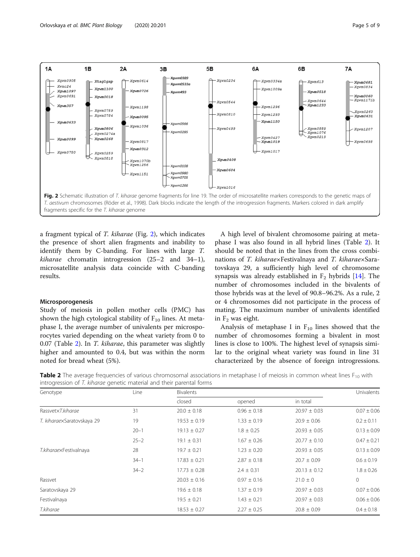<span id="page-4-0"></span>

a fragment typical of T. kiharae (Fig. 2), which indicates the presence of short alien fragments and inability to identify them by C-banding. For lines with large T. kiharae chromatin introgression (25–2 and 34–1), microsatellite analysis data coincide with C-banding results.

#### Microsporogenesis

Study of meiosis in pollen mother cells (PMC) has shown the high cytological stability of  $F_{10}$  lines. At metaphase I, the average number of univalents per microsporocytes varied depending on the wheat variety from 0 to 0.07 (Table 2). In T. kiharae, this parameter was slightly higher and amounted to 0.4, but was within the norm noted for bread wheat (5%).

A high level of bivalent chromosome pairing at metaphase I was also found in all hybrid lines (Table 2). It should be noted that in the lines from the cross combinations of T. kiharae×Festivalnaya and T. kiharae×Saratovskaya 29, a sufficiently high level of chromosome synapsis was already established in  $F_2$  hybrids [\[14](#page-8-0)]. The number of chromosomes included in the bivalents of those hybrids was at the level of 90.8–96.2%. As a rule, 2 or 4 chromosomes did not participate in the process of mating. The maximum number of univalents identified in  $F_2$  was eight.

Analysis of metaphase I in  $F_{10}$  lines showed that the number of chromosomes forming a bivalent in most lines is close to 100%. The highest level of synapsis similar to the original wheat variety was found in line 31 characterized by the absence of foreign introgressions.

Table 2 The average frequencies of various chromosomal associations in metaphase I of meiosis in common wheat lines F<sub>10</sub> with introgression of T. kiharae genetic material and their parental forms

| Genotype                   | Line     | <b>Bivalents</b> |                 |                  |                 |  |  |
|----------------------------|----------|------------------|-----------------|------------------|-----------------|--|--|
|                            |          | closed           | opened          | in total         | Univalents      |  |  |
| RassvetxT.kiharae          | 31       | $20.0 \pm 0.18$  | $0.96 \pm 0.18$ | $20.97 \pm 0.03$ | $0.07 \pm 0.06$ |  |  |
| T. kiharaexSaratovskaya 29 | 19       | $19.53 \pm 0.19$ | $1.33 \pm 0.19$ | $20.9 \pm 0.06$  | $0.2 \pm 0.11$  |  |  |
|                            | $20 - 1$ | $19.13 \pm 0.27$ | $1.8 \pm 0.25$  | $20.93 \pm 0.05$ | $0.13 \pm 0.09$ |  |  |
|                            | $25 - 2$ | $19.1 \pm 0.31$  | $1.67 \pm 0.26$ | $20.77 \pm 0.10$ | $0.47 \pm 0.21$ |  |  |
| T.kiharaexFestivalnaya     | 28       | $19.7 \pm 0.21$  | $1.23 \pm 0.20$ | $20.93 \pm 0.05$ | $0.13 \pm 0.09$ |  |  |
|                            | $34 - 1$ | $17.83 \pm 0.21$ | $2.87 \pm 0.18$ | $20.7 \pm 0.09$  | $0.6 \pm 0.19$  |  |  |
|                            | $34 - 2$ | $17.73 \pm 0.28$ | $2.4 \pm 0.31$  | $20.13 \pm 0.12$ | $1.8 \pm 0.26$  |  |  |
| Rassvet                    |          | $20.03 \pm 0.16$ | $0.97 \pm 0.16$ | $21.0 \pm 0$     | $\mathbf 0$     |  |  |
| Saratovskaya 29            |          | $19.6 \pm 0.18$  | $1.37 \pm 0.19$ | $20.97 \pm 0.03$ | $0.07 \pm 0.06$ |  |  |
| Festivalnaya               |          | $19.5 \pm 0.21$  | $1.43 \pm 0.21$ | $20.97 \pm 0.03$ | $0.06 \pm 0.06$ |  |  |
| T.kiharae                  |          | $18.53 \pm 0.27$ | $2.27 \pm 0.25$ | $20.8 \pm 0.09$  | $0.4 \pm 0.18$  |  |  |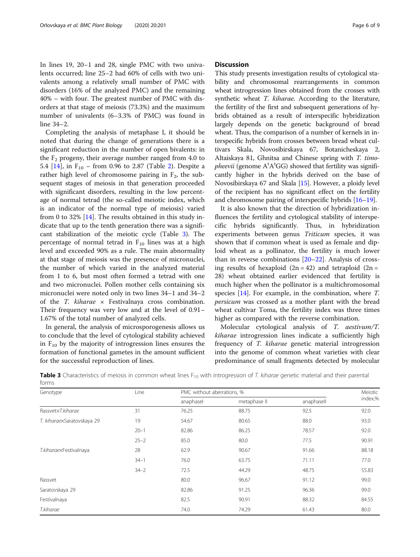<span id="page-5-0"></span>In lines 19, 20–1 and 28, single PMC with two univalents occurred; line 25–2 had 60% of cells with two univalents among a relatively small number of PMC with disorders (16% of the analyzed PMC) and the remaining 40% – with four. The greatest number of PMC with disorders at that stage of meiosis (73.3%) and the maximum number of univalents (6–3.3% of PMC) was found in line 34–2.

Completing the analysis of metaphase I, it should be noted that during the change of generations there is a significant reduction in the number of open bivalents: in the  $F_2$  progeny, their average number ranged from 4.0 to 5.4  $[14]$  $[14]$ , in  $F_{10}$  – from 0.96 to 2.87 (Table [2\)](#page-4-0). Despite a rather high level of chromosome pairing in  $F_2$ , the subsequent stages of meiosis in that generation proceeded with significant disorders, resulting in the low percentage of normal tetrad (the so-called meiotic index, which is an indicator of the normal type of meiosis) varied from 0 to 32% [[14\]](#page-8-0). The results obtained in this study indicate that up to the tenth generation there was a significant stabilization of the meiotic cycle (Table 3). The percentage of normal tetrad in  $F_{10}$  lines was at a high level and exceeded 90% as a rule. The main abnormality at that stage of meiosis was the presence of micronuclei, the number of which varied in the analyzed material from 1 to 6, but most often formed a tetrad with one and two micronuclei. Pollen mother cells containing six micronuclei were noted only in two lines 34–1 and 34–2 of the  $T.$  kiharae  $\times$  Festivalnaya cross combination. Their frequency was very low and at the level of 0.91– 1.67% of the total number of analyzed cells.

In general, the analysis of microsporogenesis allows us to conclude that the level of cytological stability achieved in  $F_{10}$  by the majority of introgression lines ensures the formation of functional gametes in the amount sufficient for the successful reproduction of lines.

#### **Discussion**

This study presents investigation results of cytological stability and chromosomal rearrangements in common wheat introgression lines obtained from the crosses with synthetic wheat T. kiharae. According to the literature, the fertility of the first and subsequent generations of hybrids obtained as a result of interspecific hybridization largely depends on the genetic background of bread wheat. Thus, the comparison of a number of kernels in interspecific hybrids from crosses between bread wheat cultivars Skala, Novosibirskaya 67, Botanicheskaya 2, Altaiskaya 81, Ghnitsa and Chinese spring with T. timo*pheevii* (genome  $A<sup>t</sup>A<sup>t</sup>GG$ ) showed that fertility was signifi-<br>cantly higher in the hybrids derived on the base of cantly higher in the hybrids derived on the base of Novosibirskaya 67 and Skala [\[15\]](#page-8-0). However, a ploidy level of the recipient has no significant effect on the fertility and chromosome pairing of interspecific hybrids [\[16](#page-8-0)–[19](#page-8-0)].

It is also known that the direction of hybridization influences the fertility and cytological stability of interspecific hybrids significantly. Thus, in hybridization experiments between genus Triticum species, it was shown that if common wheat is used as female and diploid wheat as a pollinator, the fertility is much lower than in reverse combinations  $[20-22]$  $[20-22]$  $[20-22]$  $[20-22]$  $[20-22]$ . Analysis of crossing results of hexaploid  $(2n = 42)$  and tetraploid  $(2n = 12)$ 28) wheat obtained earlier evidenced that fertility is much higher when the pollinator is a multichromosomal species [\[14\]](#page-8-0). For example, in the combination, where T. persicum was crossed as a mother plant with the bread wheat cultivar Toma, the fertility index was three times higher as compared with the reverse combination.

Molecular cytological analysis of T. aestivum/T. kiharae introgression lines indicate a sufficiently high frequency of T. kiharae genetic material introgression into the genome of common wheat varieties with clear predominance of small fragments detected by molecular

| Genotype                   | Line     | PMC without aberrations, % | Meiotic      |            |         |
|----------------------------|----------|----------------------------|--------------|------------|---------|
|                            |          | anaphasel                  | metaphase II | anaphasell | index,% |
| RassvetxT.kiharae          | 31       | 76.25                      | 88.75        | 92.5       | 92.0    |
| T. kiharaexSaratovskaya 29 | 19       | 54.67                      | 80.65        | 88.0       | 93.0    |
|                            | $20 - 1$ | 82.86                      | 86.25        | 78.57      | 92.0    |
|                            | $25 - 2$ | 85.0                       | 80.0         | 77.5       | 90.91   |
| T.kiharaexFestivalnaya     | 28       | 62.9                       | 90.67        | 91.66      | 88.18   |
|                            | $34 - 1$ | 76.0                       | 63.75        | 71.11      | 77.0    |
|                            | $34 - 2$ | 72.5                       | 44.29        | 48.75      | 55.83   |
| Rassvet                    |          | 80.0                       | 96.67        | 91.12      | 99.0    |
| Saratovskaya 29            |          | 82.86                      | 91.25        | 96.36      | 99.0    |
| Festivalnaya               |          | 82.5                       | 90.91        | 88.32      | 84.55   |
| T.kiharae                  |          | 74.0                       | 74.29        | 61.43      | 80.0    |

Table 3 Characteristics of meiosis in common wheat lines  $F_{10}$  with introgression of T. kiharae genetic material and their parental forms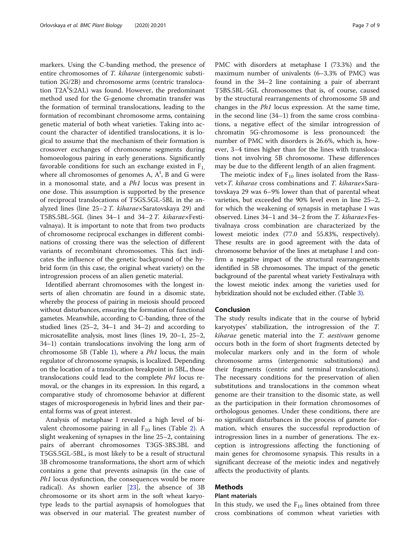markers. Using the C-banding method, the presence of entire chromosomes of T. kiharae (intergenomic substitution 2G/2B) and chromosome arms (centric translocation T2A<sup>t</sup>S:2AL) was found. However, the predominant method used for the G-genome chromatin transfer was the formation of terminal translocations, leading to the formation of recombinant chromosome arms, containing genetic material of both wheat varieties. Taking into account the character of identified translocations, it is logical to assume that the mechanism of their formation is crossover exchanges of chromosome segments during homoeologous pairing in early generations. Significantly favorable conditions for such an exchange existed in  $F_1$ where all chromosomes of genomes A,  $A<sup>t</sup>$ , B and G were in a monosomal state, and a Ph1 locus was present in one dose. This assumption is supported by the presence of reciprocal translocations of T5GS.5GL-5BL in the analyzed lines (line 25–<sup>2</sup> T. kiharae×Saratovskaya 29) and T5BS.5BL-5GL (lines 34–1 and 34–<sup>2</sup> T. kiharae×Festivalnaya). It is important to note that from two products of chromosome reciprocal exchanges in different combinations of crossing there was the selection of different variants of recombinant chromosomes. This fact indicates the influence of the genetic background of the hybrid form (in this case, the original wheat variety) on the introgression process of an alien genetic material.

Identified aberrant chromosomes with the longest inserts of alien chromatin are found in a disomic state, whereby the process of pairing in meiosis should proceed without disturbances, ensuring the formation of functional gametes. Meanwhile, according to C-banding, three of the studied lines (25–2, 34–1 and 34–2) and according to microsatellite analysis, most lines (lines 19, 20–1, 25–2, 34–1) contain translocations involving the long arm of chromosome 5B (Table [1](#page-3-0)), where a  $Ph1$  locus, the main regulator of chromosome synapsis, is localized. Depending on the location of a translocation breakpoint in 5BL, those translocations could lead to the complete Ph1 locus removal, or the changes in its expression. In this regard, a comparative study of chromosome behavior at different stages of microsporogenesis in hybrid lines and their parental forms was of great interest.

Analysis of metaphase I revealed a high level of bivalent chromosome pairing in all  $F_{10}$  lines (Table [2](#page-4-0)). A slight weakening of synapses in the line 25–2, containing pairs of aberrant chromosomes T3GS-3BS.3BL and Т5GS.5GL-5BL, is most likely to be a result of structural 3B chromosome transformations, the short arm of which contains a gene that prevents asinapsis (in the case of Ph1 locus dysfunction, the consequences would be more radical). As shown earlier [[23](#page-8-0)], the absence of 3B chromosome or its short arm in the soft wheat karyotype leads to the partial asynapsis of homologues that was observed in our material. The greatest number of

PMC with disorders at metaphase I (73.3%) and the maximum number of univalents (6–3.3% of PMC) was found in the 34–2 line containing a pair of aberrant Т5ВS.5ВL-5GL chromosomes that is, of course, caused by the structural rearrangements of chromosome 5B and changes in the <sup>Р</sup>h1 locus expression. At the same time, in the second line (34–1) from the same cross combinations, a negative effect of the similar introgression of chromatin 5G-chromosome is less pronounced: the number of PMC with disorders is 26.6%, which is, however, 3–4 times higher than for the lines with translocations not involving 5B chromosome. These differences may be due to the different length of an alien fragment.

The meiotic index of  $F_{10}$  lines isolated from the Rassvet×T. kiharae cross combinations and T. kiharae×Saratovskaya 29 was 6–9% lower than that of parental wheat varieties, but exceeded the 90% level even in line 25–2, for which the weakening of synapsis in metaphase I was observed. Lines 34–1 and 34–2 from the T. kiharae×Festivalnaya cross combination are characterized by the lowest meiotic index (77.0 and 55.83%, respectively). These results are in good agreement with the data of chromosome behavior of the lines at metaphase I and confirm a negative impact of the structural rearrangements identified in 5B chromosomes. The impact of the genetic background of the parental wheat variety Festivalnaya with the lowest meiotic index among the varieties used for hybridization should not be excluded either. (Table [3\)](#page-5-0).

#### Conclusion

The study results indicate that in the course of hybrid karyotypes' stabilization, the introgression of the T. kiharae genetic material into the T. aestivum genome occurs both in the form of short fragments detected by molecular markers only and in the form of whole chromosome arms (intergenomic substitutions) and their fragments (centric and terminal translocations). The necessary conditions for the preservation of alien substitutions and translocations in the common wheat genome are their transition to the disomic state, as well as the participation in their formation chromosomes of orthologous genomes. Under these conditions, there are no significant disturbances in the process of gamete formation, which ensures the successful reproduction of introgression lines in a number of generations. The exception is introgressions affecting the functioning of main genes for chromosome synapsis. This results in a significant decrease of the meiotic index and negatively affects the productivity of plants.

# Methods

# Plant materials

In this study, we used the  $F_{10}$  lines obtained from three cross combinations of common wheat varieties with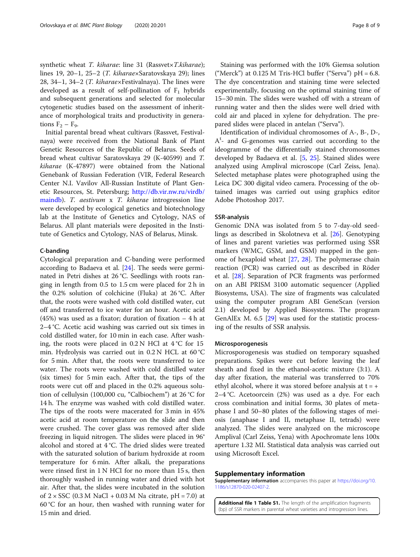<span id="page-7-0"></span>synthetic wheat T. kiharae: line 31 (Rassvet×T.kiharae); lines 19, 20–1, 25–2 (T. kiharae×Saratovskaya 29); lines 28, 34–1, 34–2 (T. kiharae×Festivalnaya). The lines were developed as a result of self-pollination of  $F_1$  hybrids and subsequent generations and selected for molecular cytogenetic studies based on the assessment of inheritance of morphological traits and productivity in generations  $F_2 - F_9$ .

Initial parental bread wheat cultivars (Rassvet, Festivalnaya) were received from the National Bank of Plant Genetic Resources of the Republic of Belarus. Seeds of bread wheat cultivar Saratovskaya 29 (K-40599) and T. kiharae (K-47897) were obtained from the National Genebank of Russian Federation (VIR, Federal Research Center N.I. Vavilov All-Russian Institute of Plant Genetic Resources, St. Petersburg; [http://db.vir.nw.ru/virdb/](http://db.vir.nw.ru/virdb/maindb) [maindb\)](http://db.vir.nw.ru/virdb/maindb). T. aestivum x T. kiharae introgression line were developed by ecological genetics and biotechnology lab at the Institute of Genetics and Cytology, NAS of Belarus. All plant materials were deposited in the Institute of Genetics and Cytology, NAS of Belarus, Minsk.

#### C-banding

Cytological preparation and C-banding were performed according to Badaeva et al. [\[24](#page-8-0)]. The seeds were germinated in Petri dishes at 26 °C. Seedlings with roots ranging in length from 0.5 to 1.5 cm were placed for 2 h in the 0.2% solution of colchicine (Fluka) at 26 °C. After that, the roots were washed with cold distilled water, cut off and transferred to ice water for an hour. Acetic acid (45%) was used as a fixator; duration of fixation – 4 h at 2–4 °C. Acetic acid washing was carried out six times in cold distilled water, for 10 min in each case. After washing, the roots were placed in  $0.2 N$  HCl at  $4 °C$  for 15 min. Hydrolysis was carried out in 0.2 N HCL at 60 °C for 5 min. After that, the roots were transferred to ice water. The roots were washed with cold distilled water (six times) for 5 min each. After that, the tips of the roots were cut off and placed in the 0.2% aqueous solution of cellulysin (100,000 cu, "Calbiochem") at 26 °C for 14 h. The enzyme was washed with cold distilled water. The tips of the roots were macerated for 3 min in 45% acetic acid at room temperature on the slide and then were crushed. The cover glass was removed after slide freezing in liquid nitrogen. The slides were placed in 96° alcohol and stored at 4 °C. The dried slides were treated with the saturated solution of barium hydroxide at room temperature for 6 min. After alkali, the preparations were rinsed first in 1 N HCI for no more than 15 s, then thoroughly washed in running water and dried with hot air. After that, the slides were incubated in the solution of  $2 \times SSC$  (0.3 M NaCl + 0.03 M Na citrate, pH = 7.0) at 60 °C for an hour, then washed with running water for 15 min and dried.

Staining was performed with the 10% Giemsa solution ("Merck") at  $0.125$  M Tris-HCl buffer ("Serva") pH = 6.8. The dye concentration and staining time were selected experimentally, focusing on the optimal staining time of 15–30 min. The slides were washed off with a stream of running water and then the slides were well dried with cold air and placed in xylene for dehydration. The prepared slides were placed in antelan ("Serva").

Identification of individual chromosomes of A-, B-, D-, A<sup>t</sup>- and G-genomes was carried out according to the ideogramme of the differentially stained chromosomes developed by Badaeva et al. [\[5](#page-8-0), [25](#page-8-0)]. Stained slides were analyzed using Amplival microscope (Carl Zeiss, Jena). Selected metaphase plates were photographed using the Leica DC 300 digital video camera. Processing of the obtained images was carried out using graphics editor Adobe Photoshop 2017.

#### SSR-analysis

Genomic DNA was isolated from 5 to 7-day-old seedlings as described in Skolotneva et al. [[26](#page-8-0)]. Genotyping of lines and parent varieties was performed using SSR markers (WMC, GSM, and GSM) mapped in the genome of hexaploid wheat [\[27,](#page-8-0) [28\]](#page-8-0). The polymerase chain reaction (PCR) was carried out as described in Röder et al. [\[28](#page-8-0)]. Separation of PCR fragments was performed on an ABI PRISM 3100 automatic sequencer (Applied Biosystems, USA). The size of fragments was calculated using the computer program ABI GeneScan (version 2.1) developed by Applied Biosystems. The program GenAlEx M. 6.5 [\[29](#page-8-0)] was used for the statistic processing of the results of SSR analysis.

#### Microsporogenesis

Microsporogenesis was studied on temporary squashed preparations. Spikes were cut before leaving the leaf sheath and fixed in the ethanol-acetic mixture (3:1). A day after fixation, the material was transferred to 70% ethyl alcohol, where it was stored before analysis at  $t = +$ 2–4 °C. Acetoorcein (2%) was used as a dye. For each cross combination and initial forms, 30 plates of metaphase I and 50–80 plates of the following stages of meiosis (anaphase I and II, metaphase II, tetrads) were analyzed. The slides were analyzed on the microscope Amplival (Carl Zeiss, Yena) with Apochromate lens 100x aperture 1.32 MI. Statistical data analysis was carried out using Microsoft Excel.

#### Supplementary information

Supplementary information accompanies this paper at [https://doi.org/10.](https://doi.org/10.1186/s12870-020-02407-2) [1186/s12870-020-02407-2](https://doi.org/10.1186/s12870-020-02407-2).

Additional file 1 Table S1. The length of the amplification fragments (bp) of SSR markers in parental wheat varieties and introgression lines.